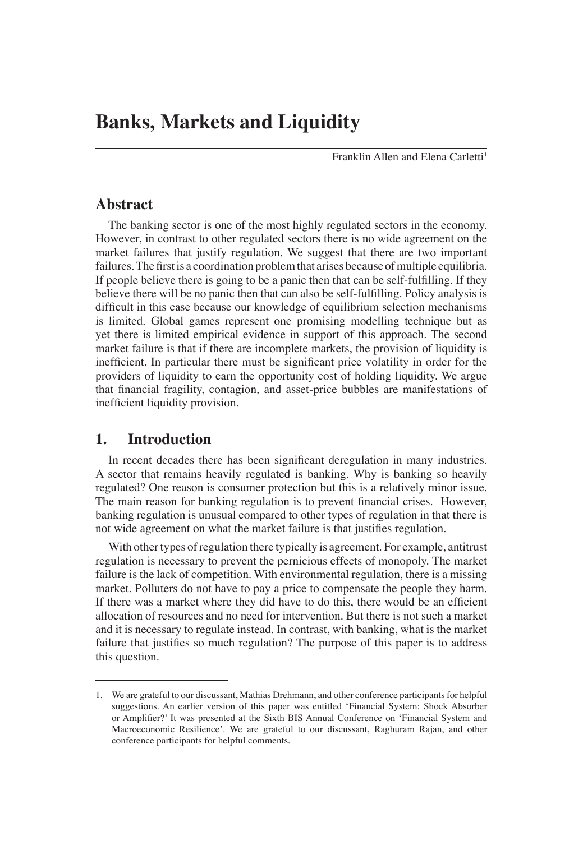Franklin Allen and Elena Carletti<sup>1</sup>

# **Abstract**

The banking sector is one of the most highly regulated sectors in the economy. However, in contrast to other regulated sectors there is no wide agreement on the market failures that justify regulation. We suggest that there are two important failures. The first is a coordination problem that arises because of multiple equilibria. If people believe there is going to be a panic then that can be self-fulfilling. If they believe there will be no panic then that can also be self-fulfilling. Policy analysis is difficult in this case because our knowledge of equilibrium selection mechanisms is limited. Global games represent one promising modelling technique but as yet there is limited empirical evidence in support of this approach. The second market failure is that if there are incomplete markets, the provision of liquidity is inefficient. In particular there must be significant price volatility in order for the providers of liquidity to earn the opportunity cost of holding liquidity. We argue that financial fragility, contagion, and asset-price bubbles are manifestations of inefficient liquidity provision.

# **1. Introduction**

In recent decades there has been significant deregulation in many industries. A sector that remains heavily regulated is banking. Why is banking so heavily regulated? One reason is consumer protection but this is a relatively minor issue. The main reason for banking regulation is to prevent financial crises. However, banking regulation is unusual compared to other types of regulation in that there is not wide agreement on what the market failure is that justifies regulation.

With other types of regulation there typically is agreement. For example, antitrust regulation is necessary to prevent the pernicious effects of monopoly. The market failure is the lack of competition. With environmental regulation, there is a missing market. Polluters do not have to pay a price to compensate the people they harm. If there was a market where they did have to do this, there would be an efficient allocation of resources and no need for intervention. But there is not such a market and it is necessary to regulate instead. In contrast, with banking, what is the market failure that justifies so much regulation? The purpose of this paper is to address this question.

<sup>1.</sup> We are grateful to our discussant, Mathias Drehmann, and other conference participants for helpful suggestions. An earlier version of this paper was entitled 'Financial System: Shock Absorber or Amplifier?' It was presented at the Sixth BIS Annual Conference on 'Financial System and Macroeconomic Resilience'. We are grateful to our discussant, Raghuram Rajan, and other conference participants for helpful comments.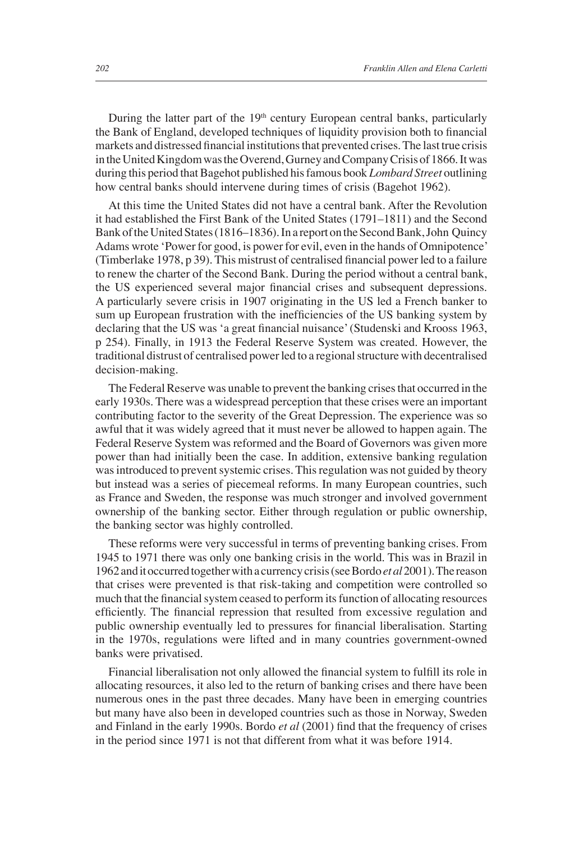During the latter part of the  $19<sup>th</sup>$  century European central banks, particularly the Bank of England, developed techniques of liquidity provision both to financial markets and distressed financial institutions that prevented crises. The last true crisis in the United Kingdom was the Overend, Gurney and Company Crisis of 1866. It was during this period that Bagehot published his famous book *Lombard Street* outlining how central banks should intervene during times of crisis (Bagehot 1962).

At this time the United States did not have a central bank. After the Revolution it had established the First Bank of the United States (1791–1811) and the Second Bank of the United States (1816–1836). In a report on the Second Bank, John Quincy Adams wrote 'Power for good, is power for evil, even in the hands of Omnipotence' (Timberlake 1978,  $p$  39). This mistrust of centralised financial power led to a failure to renew the charter of the Second Bank. During the period without a central bank, the US experienced several major financial crises and subsequent depressions. A particularly severe crisis in 1907 originating in the US led a French banker to sum up European frustration with the inefficiencies of the US banking system by declaring that the US was 'a great financial nuisance' (Studenski and Krooss 1963, p 254). Finally, in 1913 the Federal Reserve System was created. However, the traditional distrust of centralised power led to a regional structure with decentralised decision-making.

The Federal Reserve was unable to prevent the banking crises that occurred in the early 1930s. There was a widespread perception that these crises were an important contributing factor to the severity of the Great Depression. The experience was so awful that it was widely agreed that it must never be allowed to happen again. The Federal Reserve System was reformed and the Board of Governors was given more power than had initially been the case. In addition, extensive banking regulation was introduced to prevent systemic crises. This regulation was not guided by theory but instead was a series of piecemeal reforms. In many European countries, such as France and Sweden, the response was much stronger and involved government ownership of the banking sector. Either through regulation or public ownership, the banking sector was highly controlled.

These reforms were very successful in terms of preventing banking crises. From 1945 to 1971 there was only one banking crisis in the world. This was in Brazil in 1962 and it occurred together with a currency crisis (see Bordo *et al* 2001). The reason that crises were prevented is that risk-taking and competition were controlled so much that the financial system ceased to perform its function of allocating resources efficiently. The financial repression that resulted from excessive regulation and public ownership eventually led to pressures for financial liberalisation. Starting in the 1970s, regulations were lifted and in many countries government-owned banks were privatised.

Financial liberalisation not only allowed the financial system to fulfill its role in allocating resources, it also led to the return of banking crises and there have been numerous ones in the past three decades. Many have been in emerging countries but many have also been in developed countries such as those in Norway, Sweden and Finland in the early 1990s. Bordo et al (2001) find that the frequency of crises in the period since 1971 is not that different from what it was before 1914.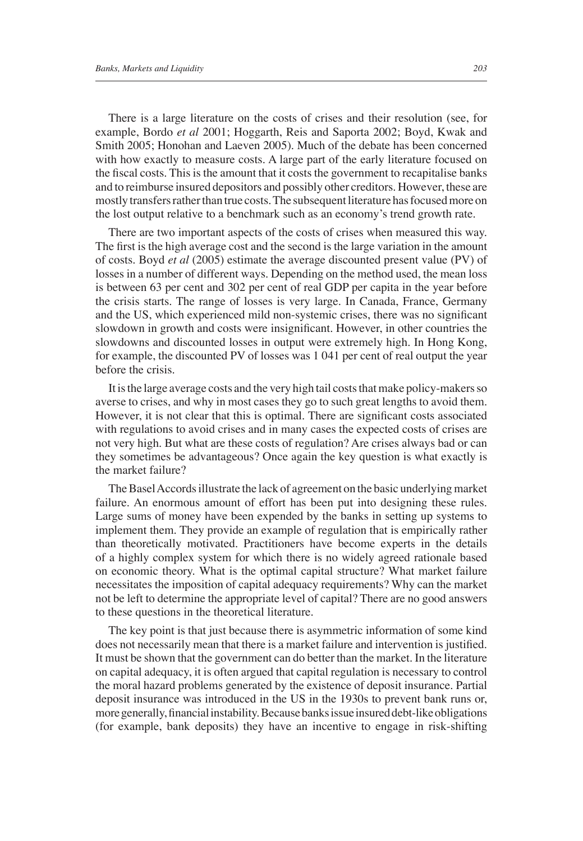There is a large literature on the costs of crises and their resolution (see, for example, Bordo *et al* 2001; Hoggarth, Reis and Saporta 2002; Boyd, Kwak and Smith 2005; Honohan and Laeven 2005). Much of the debate has been concerned with how exactly to measure costs. A large part of the early literature focused on the fiscal costs. This is the amount that it costs the government to recapitalise banks and to reimburse insured depositors and possibly other creditors. However, these are mostly transfers rather than true costs. The subsequent literature has focused more on the lost output relative to a benchmark such as an economy's trend growth rate.

There are two important aspects of the costs of crises when measured this way. The first is the high average cost and the second is the large variation in the amount of costs. Boyd *et al* (2005) estimate the average discounted present value (PV) of losses in a number of different ways. Depending on the method used, the mean loss is between 63 per cent and 302 per cent of real GDP per capita in the year before the crisis starts. The range of losses is very large. In Canada, France, Germany and the US, which experienced mild non-systemic crises, there was no significant slowdown in growth and costs were insignificant. However, in other countries the slowdowns and discounted losses in output were extremely high. In Hong Kong, for example, the discounted PV of losses was 1 041 per cent of real output the year before the crisis.

It is the large average costs and the very high tail costs that make policy-makers so averse to crises, and why in most cases they go to such great lengths to avoid them. However, it is not clear that this is optimal. There are significant costs associated with regulations to avoid crises and in many cases the expected costs of crises are not very high. But what are these costs of regulation? Are crises always bad or can they sometimes be advantageous? Once again the key question is what exactly is the market failure?

The Basel Accords illustrate the lack of agreement on the basic underlying market failure. An enormous amount of effort has been put into designing these rules. Large sums of money have been expended by the banks in setting up systems to implement them. They provide an example of regulation that is empirically rather than theoretically motivated. Practitioners have become experts in the details of a highly complex system for which there is no widely agreed rationale based on economic theory. What is the optimal capital structure? What market failure necessitates the imposition of capital adequacy requirements? Why can the market not be left to determine the appropriate level of capital? There are no good answers to these questions in the theoretical literature.

The key point is that just because there is asymmetric information of some kind does not necessarily mean that there is a market failure and intervention is justified. It must be shown that the government can do better than the market. In the literature on capital adequacy, it is often argued that capital regulation is necessary to control the moral hazard problems generated by the existence of deposit insurance. Partial deposit insurance was introduced in the US in the 1930s to prevent bank runs or, more generally, financial instability. Because banks issue insured debt-like obligations (for example, bank deposits) they have an incentive to engage in risk-shifting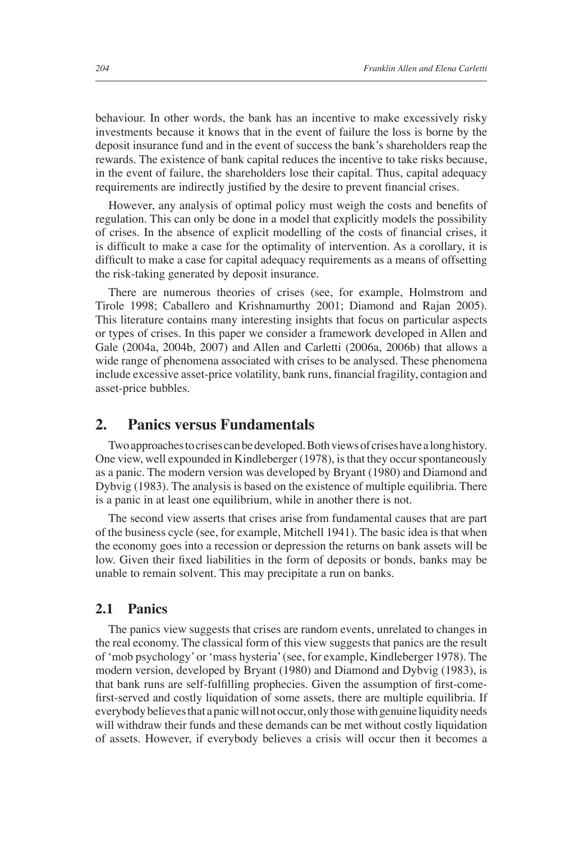behaviour. In other words, the bank has an incentive to make excessively risky investments because it knows that in the event of failure the loss is borne by the deposit insurance fund and in the event of success the bank's shareholders reap the rewards. The existence of bank capital reduces the incentive to take risks because, in the event of failure, the shareholders lose their capital. Thus, capital adequacy requirements are indirectly justified by the desire to prevent financial crises.

However, any analysis of optimal policy must weigh the costs and benefits of regulation. This can only be done in a model that explicitly models the possibility of crises. In the absence of explicit modelling of the costs of financial crises, it is difficult to make a case for the optimality of intervention. As a corollary, it is difficult to make a case for capital adequacy requirements as a means of offsetting the risk-taking generated by deposit insurance.

There are numerous theories of crises (see, for example, Holmstrom and Tirole 1998; Caballero and Krishnamurthy 2001; Diamond and Rajan 2005). This literature contains many interesting insights that focus on particular aspects or types of crises. In this paper we consider a framework developed in Allen and Gale (2004a, 2004b, 2007) and Allen and Carletti (2006a, 2006b) that allows a wide range of phenomena associated with crises to be analysed. These phenomena include excessive asset-price volatility, bank runs, financial fragility, contagion and asset-price bubbles.

## **2. Panics versus Fundamentals**

Two approaches to crises can be developed. Both views of crises have a long history. One view, well expounded in Kindleberger (1978), is that they occur spontaneously as a panic. The modern version was developed by Bryant (1980) and Diamond and Dybvig (1983). The analysis is based on the existence of multiple equilibria. There is a panic in at least one equilibrium, while in another there is not.

The second view asserts that crises arise from fundamental causes that are part of the business cycle (see, for example, Mitchell 1941). The basic idea is that when the economy goes into a recession or depression the returns on bank assets will be low. Given their fixed liabilities in the form of deposits or bonds, banks may be unable to remain solvent. This may precipitate a run on banks.

### **2.1 Panics**

The panics view suggests that crises are random events, unrelated to changes in the real economy. The classical form of this view suggests that panics are the result of 'mob psychology' or 'mass hysteria' (see, for example, Kindleberger 1978). The modern version, developed by Bryant (1980) and Diamond and Dybvig (1983), is that bank runs are self-fulfilling prophecies. Given the assumption of first-comefirst-served and costly liquidation of some assets, there are multiple equilibria. If everybody believes that a panic will not occur, only those with genuine liquidity needs will withdraw their funds and these demands can be met without costly liquidation of assets. However, if everybody believes a crisis will occur then it becomes a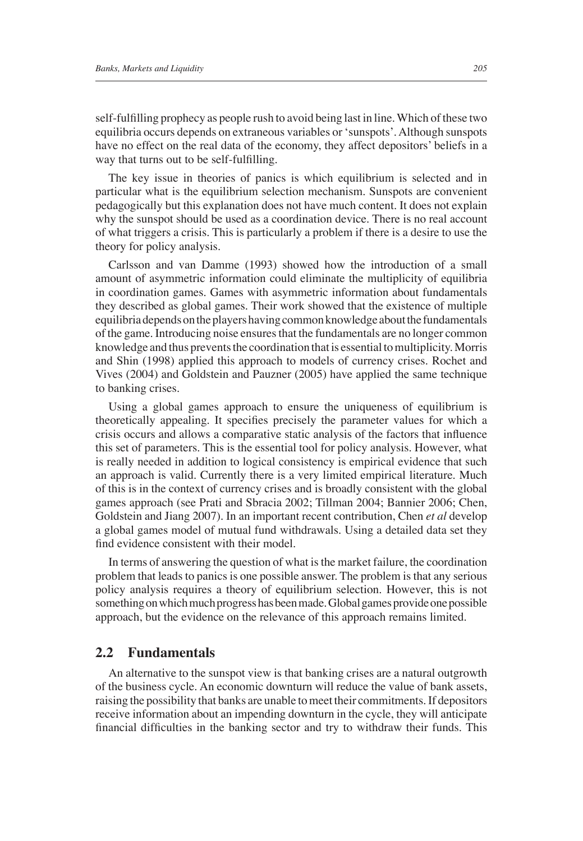self-fulfilling prophecy as people rush to avoid being last in line. Which of these two equilibria occurs depends on extraneous variables or 'sunspots'. Although sunspots have no effect on the real data of the economy, they affect depositors' beliefs in a way that turns out to be self-fulfilling.

The key issue in theories of panics is which equilibrium is selected and in particular what is the equilibrium selection mechanism. Sunspots are convenient pedagogically but this explanation does not have much content. It does not explain why the sunspot should be used as a coordination device. There is no real account of what triggers a crisis. This is particularly a problem if there is a desire to use the theory for policy analysis.

Carlsson and van Damme (1993) showed how the introduction of a small amount of asymmetric information could eliminate the multiplicity of equilibria in coordination games. Games with asymmetric information about fundamentals they described as global games. Their work showed that the existence of multiple equilibria depends on the players having common knowledge about the fundamentals of the game. Introducing noise ensures that the fundamentals are no longer common knowledge and thus prevents the coordination that is essential to multiplicity. Morris and Shin (1998) applied this approach to models of currency crises. Rochet and Vives (2004) and Goldstein and Pauzner (2005) have applied the same technique to banking crises.

Using a global games approach to ensure the uniqueness of equilibrium is theoretically appealing. It specifies precisely the parameter values for which a crisis occurs and allows a comparative static analysis of the factors that influence this set of parameters. This is the essential tool for policy analysis. However, what is really needed in addition to logical consistency is empirical evidence that such an approach is valid. Currently there is a very limited empirical literature. Much of this is in the context of currency crises and is broadly consistent with the global games approach (see Prati and Sbracia 2002; Tillman 2004; Bannier 2006; Chen, Goldstein and Jiang 2007). In an important recent contribution, Chen *et al* develop a global games model of mutual fund withdrawals. Using a detailed data set they find evidence consistent with their model.

In terms of answering the question of what is the market failure, the coordination problem that leads to panics is one possible answer. The problem is that any serious policy analysis requires a theory of equilibrium selection. However, this is not something on which much progress has been made. Global games provide one possible approach, but the evidence on the relevance of this approach remains limited.

#### **2.2 Fundamentals**

An alternative to the sunspot view is that banking crises are a natural outgrowth of the business cycle. An economic downturn will reduce the value of bank assets, raising the possibility that banks are unable to meet their commitments. If depositors receive information about an impending downturn in the cycle, they will anticipate financial difficulties in the banking sector and try to withdraw their funds. This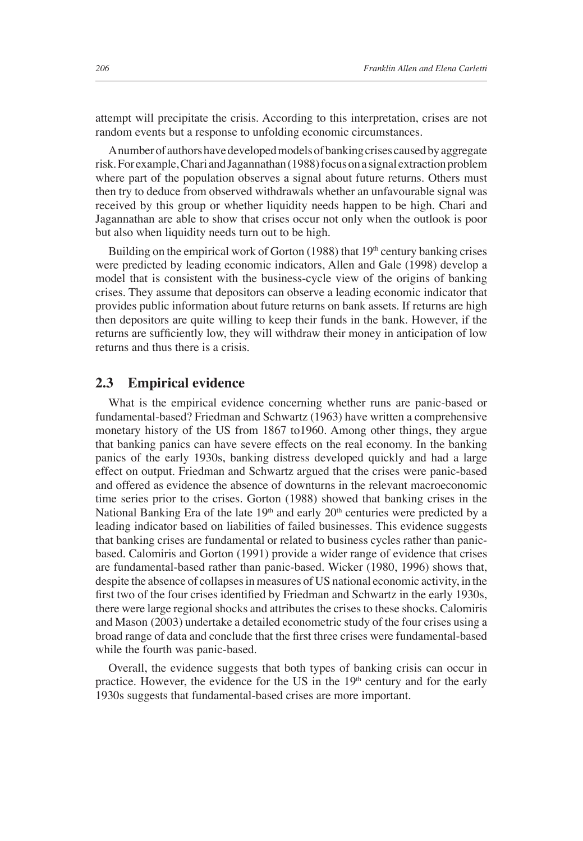attempt will precipitate the crisis. According to this interpretation, crises are not random events but a response to unfolding economic circumstances.

A number of authors have developed models of banking crises caused by aggregate risk. For example, Chari and Jagannathan (1988) focus on a signal extraction problem where part of the population observes a signal about future returns. Others must then try to deduce from observed withdrawals whether an unfavourable signal was received by this group or whether liquidity needs happen to be high. Chari and Jagannathan are able to show that crises occur not only when the outlook is poor but also when liquidity needs turn out to be high.

Building on the empirical work of Gorton  $(1988)$  that  $19<sup>th</sup>$  century banking crises were predicted by leading economic indicators, Allen and Gale (1998) develop a model that is consistent with the business-cycle view of the origins of banking crises. They assume that depositors can observe a leading economic indicator that provides public information about future returns on bank assets. If returns are high then depositors are quite willing to keep their funds in the bank. However, if the returns are sufficiently low, they will withdraw their money in anticipation of low returns and thus there is a crisis.

#### **2.3 Empirical evidence**

What is the empirical evidence concerning whether runs are panic-based or fundamental-based? Friedman and Schwartz (1963) have written a comprehensive monetary history of the US from 1867 to1960. Among other things, they argue that banking panics can have severe effects on the real economy. In the banking panics of the early 1930s, banking distress developed quickly and had a large effect on output. Friedman and Schwartz argued that the crises were panic-based and offered as evidence the absence of downturns in the relevant macroeconomic time series prior to the crises. Gorton (1988) showed that banking crises in the National Banking Era of the late 19<sup>th</sup> and early 20<sup>th</sup> centuries were predicted by a leading indicator based on liabilities of failed businesses. This evidence suggests that banking crises are fundamental or related to business cycles rather than panicbased. Calomiris and Gorton (1991) provide a wider range of evidence that crises are fundamental-based rather than panic-based. Wicker (1980, 1996) shows that, despite the absence of collapses in measures of US national economic activity, in the first two of the four crises identified by Friedman and Schwartz in the early 1930s, there were large regional shocks and attributes the crises to these shocks. Calomiris and Mason (2003) undertake a detailed econometric study of the four crises using a broad range of data and conclude that the first three crises were fundamental-based while the fourth was panic-based.

Overall, the evidence suggests that both types of banking crisis can occur in practice. However, the evidence for the US in the  $19<sup>th</sup>$  century and for the early 1930s suggests that fundamental-based crises are more important.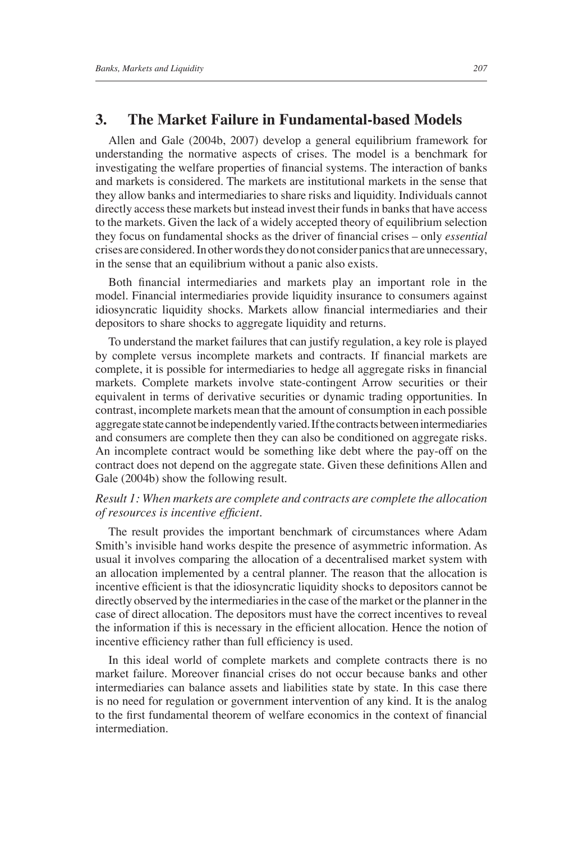## **3. The Market Failure in Fundamental-based Models**

Allen and Gale (2004b, 2007) develop a general equilibrium framework for understanding the normative aspects of crises. The model is a benchmark for investigating the welfare properties of financial systems. The interaction of banks and markets is considered. The markets are institutional markets in the sense that they allow banks and intermediaries to share risks and liquidity. Individuals cannot directly access these markets but instead invest their funds in banks that have access to the markets. Given the lack of a widely accepted theory of equilibrium selection they focus on fundamental shocks as the driver of financial crises – only *essential* crises are considered. In other words they do not consider panics that are unnecessary, in the sense that an equilibrium without a panic also exists.

Both financial intermediaries and markets play an important role in the model. Financial intermediaries provide liquidity insurance to consumers against idiosyncratic liquidity shocks. Markets allow financial intermediaries and their depositors to share shocks to aggregate liquidity and returns.

To understand the market failures that can justify regulation, a key role is played by complete versus incomplete markets and contracts. If financial markets are complete, it is possible for intermediaries to hedge all aggregate risks in financial markets. Complete markets involve state-contingent Arrow securities or their equivalent in terms of derivative securities or dynamic trading opportunities. In contrast, incomplete markets mean that the amount of consumption in each possible aggregate state cannot be independently varied. If the contracts between intermediaries and consumers are complete then they can also be conditioned on aggregate risks. An incomplete contract would be something like debt where the pay-off on the contract does not depend on the aggregate state. Given these definitions Allen and Gale (2004b) show the following result.

#### *Result 1: When markets are complete and contracts are complete the allocation of resources is incentive efficient.*

The result provides the important benchmark of circumstances where Adam Smith's invisible hand works despite the presence of asymmetric information. As usual it involves comparing the allocation of a decentralised market system with an allocation implemented by a central planner. The reason that the allocation is incentive efficient is that the idiosyncratic liquidity shocks to depositors cannot be directly observed by the intermediaries in the case of the market or the planner in the case of direct allocation. The depositors must have the correct incentives to reveal the information if this is necessary in the efficient allocation. Hence the notion of incentive efficiency rather than full efficiency is used.

In this ideal world of complete markets and complete contracts there is no market failure. Moreover financial crises do not occur because banks and other intermediaries can balance assets and liabilities state by state. In this case there is no need for regulation or government intervention of any kind. It is the analog to the first fundamental theorem of welfare economics in the context of financial intermediation.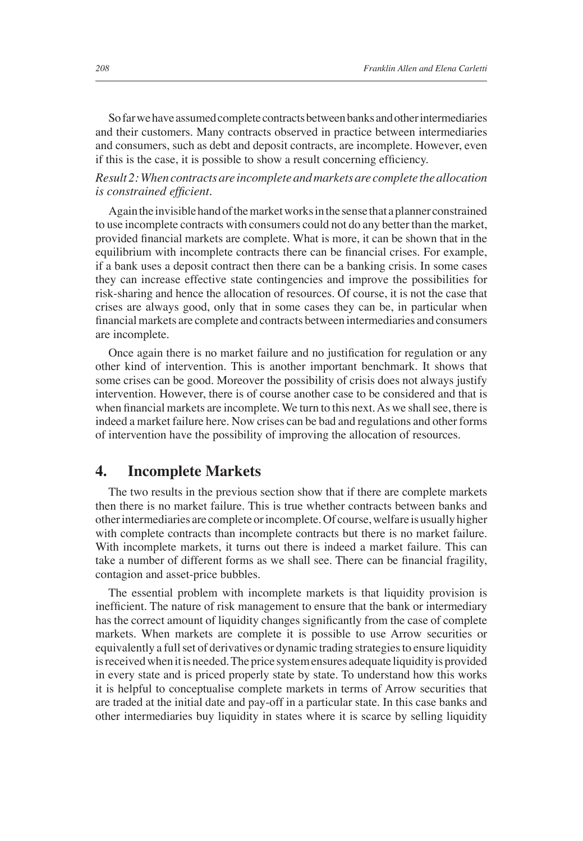So far we have assumed complete contracts between banks and other intermediaries and their customers. Many contracts observed in practice between intermediaries and consumers, such as debt and deposit contracts, are incomplete. However, even if this is the case, it is possible to show a result concerning efficiency.

*Result 2: When contracts are incomplete and markets are complete the allocation is constrained efficient.* 

Again the invisible hand of the market works in the sense that a planner constrained to use incomplete contracts with consumers could not do any better than the market, provided financial markets are complete. What is more, it can be shown that in the equilibrium with incomplete contracts there can be financial crises. For example, if a bank uses a deposit contract then there can be a banking crisis. In some cases they can increase effective state contingencies and improve the possibilities for risk-sharing and hence the allocation of resources. Of course, it is not the case that crises are always good, only that in some cases they can be, in particular when financial markets are complete and contracts between intermediaries and consumers are incomplete.

Once again there is no market failure and no justification for regulation or any other kind of intervention. This is another important benchmark. It shows that some crises can be good. Moreover the possibility of crisis does not always justify intervention. However, there is of course another case to be considered and that is when financial markets are incomplete. We turn to this next. As we shall see, there is indeed a market failure here. Now crises can be bad and regulations and other forms of intervention have the possibility of improving the allocation of resources.

### **4. Incomplete Markets**

The two results in the previous section show that if there are complete markets then there is no market failure. This is true whether contracts between banks and other intermediaries are complete or incomplete. Of course, welfare is usually higher with complete contracts than incomplete contracts but there is no market failure. With incomplete markets, it turns out there is indeed a market failure. This can take a number of different forms as we shall see. There can be financial fragility, contagion and asset-price bubbles.

The essential problem with incomplete markets is that liquidity provision is inefficient. The nature of risk management to ensure that the bank or intermediary has the correct amount of liquidity changes significantly from the case of complete markets. When markets are complete it is possible to use Arrow securities or equivalently a full set of derivatives or dynamic trading strategies to ensure liquidity is received when it is needed. The price system ensures adequate liquidity is provided in every state and is priced properly state by state. To understand how this works it is helpful to conceptualise complete markets in terms of Arrow securities that are traded at the initial date and pay-off in a particular state. In this case banks and other intermediaries buy liquidity in states where it is scarce by selling liquidity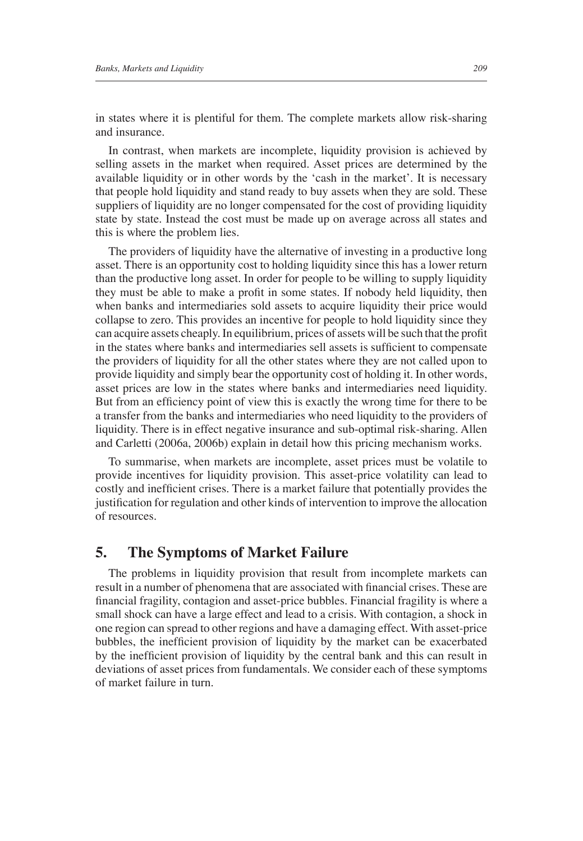in states where it is plentiful for them. The complete markets allow risk-sharing and insurance.

In contrast, when markets are incomplete, liquidity provision is achieved by selling assets in the market when required. Asset prices are determined by the available liquidity or in other words by the 'cash in the market'. It is necessary that people hold liquidity and stand ready to buy assets when they are sold. These suppliers of liquidity are no longer compensated for the cost of providing liquidity state by state. Instead the cost must be made up on average across all states and this is where the problem lies.

The providers of liquidity have the alternative of investing in a productive long asset. There is an opportunity cost to holding liquidity since this has a lower return than the productive long asset. In order for people to be willing to supply liquidity they must be able to make a profit in some states. If nobody held liquidity, then when banks and intermediaries sold assets to acquire liquidity their price would collapse to zero. This provides an incentive for people to hold liquidity since they can acquire assets cheaply. In equilibrium, prices of assets will be such that the profit in the states where banks and intermediaries sell assets is sufficient to compensate the providers of liquidity for all the other states where they are not called upon to provide liquidity and simply bear the opportunity cost of holding it. In other words, asset prices are low in the states where banks and intermediaries need liquidity. But from an efficiency point of view this is exactly the wrong time for there to be a transfer from the banks and intermediaries who need liquidity to the providers of liquidity. There is in effect negative insurance and sub-optimal risk-sharing. Allen and Carletti (2006a, 2006b) explain in detail how this pricing mechanism works.

To summarise, when markets are incomplete, asset prices must be volatile to provide incentives for liquidity provision. This asset-price volatility can lead to costly and inefficient crises. There is a market failure that potentially provides the justification for regulation and other kinds of intervention to improve the allocation of resources.

### **5. The Symptoms of Market Failure**

The problems in liquidity provision that result from incomplete markets can result in a number of phenomena that are associated with financial crises. These are financial fragility, contagion and asset-price bubbles. Financial fragility is where a small shock can have a large effect and lead to a crisis. With contagion, a shock in one region can spread to other regions and have a damaging effect. With asset-price bubbles, the inefficient provision of liquidity by the market can be exacerbated by the inefficient provision of liquidity by the central bank and this can result in deviations of asset prices from fundamentals. We consider each of these symptoms of market failure in turn.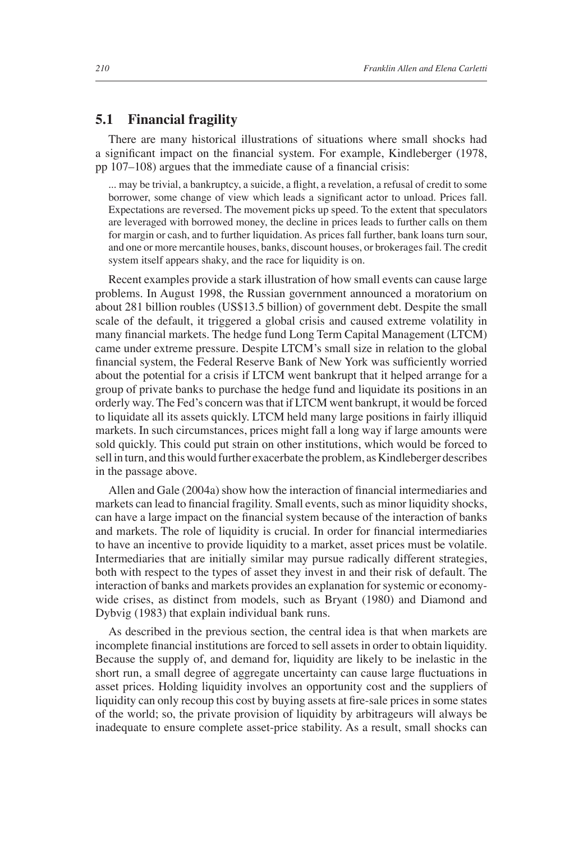## **5.1 Financial fragility**

There are many historical illustrations of situations where small shocks had a significant impact on the financial system. For example, Kindleberger (1978, pp  $107-108$ ) argues that the immediate cause of a financial crisis:

... may be trivial, a bankruptcy, a suicide, a flight, a revelation, a refusal of credit to some borrower, some change of view which leads a significant actor to unload. Prices fall. Expectations are reversed. The movement picks up speed. To the extent that speculators are leveraged with borrowed money, the decline in prices leads to further calls on them for margin or cash, and to further liquidation. As prices fall further, bank loans turn sour, and one or more mercantile houses, banks, discount houses, or brokerages fail. The credit system itself appears shaky, and the race for liquidity is on.

Recent examples provide a stark illustration of how small events can cause large problems. In August 1998, the Russian government announced a moratorium on about 281 billion roubles (US\$13.5 billion) of government debt. Despite the small scale of the default, it triggered a global crisis and caused extreme volatility in many financial markets. The hedge fund Long Term Capital Management (LTCM) came under extreme pressure. Despite LTCM's small size in relation to the global financial system, the Federal Reserve Bank of New York was sufficiently worried about the potential for a crisis if LTCM went bankrupt that it helped arrange for a group of private banks to purchase the hedge fund and liquidate its positions in an orderly way. The Fed's concern was that if LTCM went bankrupt, it would be forced to liquidate all its assets quickly. LTCM held many large positions in fairly illiquid markets. In such circumstances, prices might fall a long way if large amounts were sold quickly. This could put strain on other institutions, which would be forced to sell in turn, and this would further exacerbate the problem, as Kindleberger describes in the passage above.

Allen and Gale (2004a) show how the interaction of financial intermediaries and markets can lead to financial fragility. Small events, such as minor liquidity shocks, can have a large impact on the financial system because of the interaction of banks and markets. The role of liquidity is crucial. In order for financial intermediaries to have an incentive to provide liquidity to a market, asset prices must be volatile. Intermediaries that are initially similar may pursue radically different strategies, both with respect to the types of asset they invest in and their risk of default. The interaction of banks and markets provides an explanation for systemic or economywide crises, as distinct from models, such as Bryant (1980) and Diamond and Dybvig (1983) that explain individual bank runs.

As described in the previous section, the central idea is that when markets are incomplete financial institutions are forced to sell assets in order to obtain liquidity. Because the supply of, and demand for, liquidity are likely to be inelastic in the short run, a small degree of aggregate uncertainty can cause large fluctuations in asset prices. Holding liquidity involves an opportunity cost and the suppliers of liquidity can only recoup this cost by buying assets at fire-sale prices in some states of the world; so, the private provision of liquidity by arbitrageurs will always be inadequate to ensure complete asset-price stability. As a result, small shocks can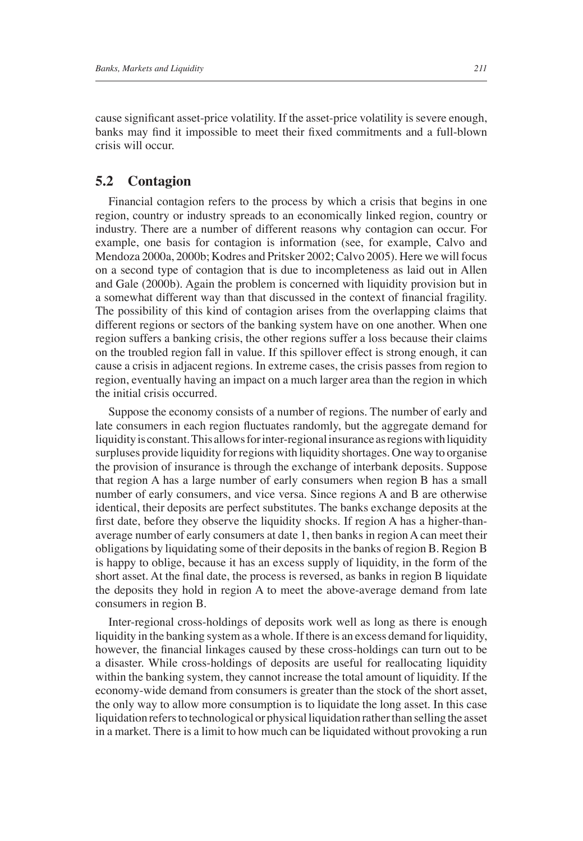cause significant asset-price volatility. If the asset-price volatility is severe enough, banks may find it impossible to meet their fixed commitments and a full-blown crisis will occur.

#### **5.2 Contagion**

Financial contagion refers to the process by which a crisis that begins in one region, country or industry spreads to an economically linked region, country or industry. There are a number of different reasons why contagion can occur. For example, one basis for contagion is information (see, for example, Calvo and Mendoza 2000a, 2000b; Kodres and Pritsker 2002; Calvo 2005). Here we will focus on a second type of contagion that is due to incompleteness as laid out in Allen and Gale (2000b). Again the problem is concerned with liquidity provision but in a somewhat different way than that discussed in the context of financial fragility. The possibility of this kind of contagion arises from the overlapping claims that different regions or sectors of the banking system have on one another. When one region suffers a banking crisis, the other regions suffer a loss because their claims on the troubled region fall in value. If this spillover effect is strong enough, it can cause a crisis in adjacent regions. In extreme cases, the crisis passes from region to region, eventually having an impact on a much larger area than the region in which the initial crisis occurred.

Suppose the economy consists of a number of regions. The number of early and late consumers in each region fluctuates randomly, but the aggregate demand for liquidity is constant. This allows for inter-regional insurance as regions with liquidity surpluses provide liquidity for regions with liquidity shortages. One way to organise the provision of insurance is through the exchange of interbank deposits. Suppose that region A has a large number of early consumers when region B has a small number of early consumers, and vice versa. Since regions A and B are otherwise identical, their deposits are perfect substitutes. The banks exchange deposits at the first date, before they observe the liquidity shocks. If region A has a higher-thanaverage number of early consumers at date 1, then banks in region A can meet their obligations by liquidating some of their deposits in the banks of region B. Region B is happy to oblige, because it has an excess supply of liquidity, in the form of the short asset. At the final date, the process is reversed, as banks in region B liquidate the deposits they hold in region A to meet the above-average demand from late consumers in region B.

Inter-regional cross-holdings of deposits work well as long as there is enough liquidity in the banking system as a whole. If there is an excess demand for liquidity, however, the financial linkages caused by these cross-holdings can turn out to be a disaster. While cross-holdings of deposits are useful for reallocating liquidity within the banking system, they cannot increase the total amount of liquidity. If the economy-wide demand from consumers is greater than the stock of the short asset, the only way to allow more consumption is to liquidate the long asset. In this case liquidation refers to technological or physical liquidation rather than selling the asset in a market. There is a limit to how much can be liquidated without provoking a run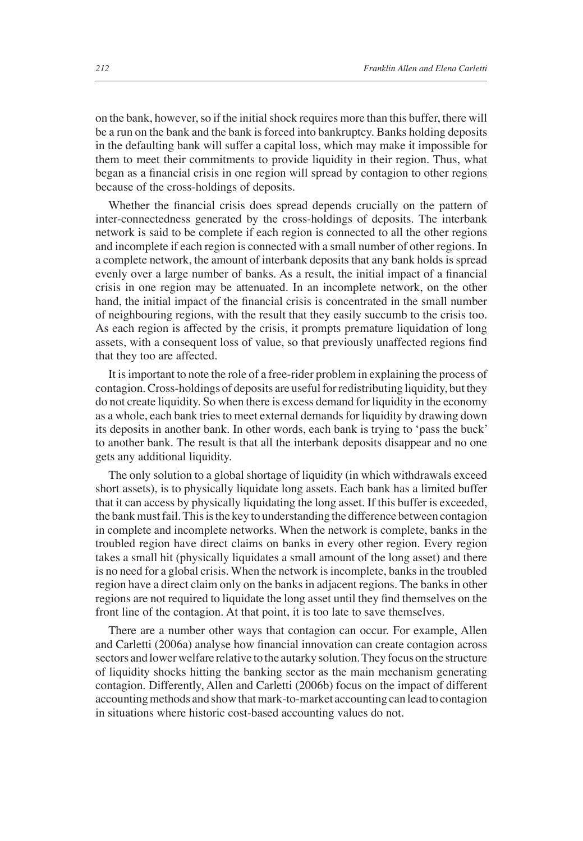on the bank, however, so if the initial shock requires more than this buffer, there will be a run on the bank and the bank is forced into bankruptcy. Banks holding deposits in the defaulting bank will suffer a capital loss, which may make it impossible for them to meet their commitments to provide liquidity in their region. Thus, what began as a financial crisis in one region will spread by contagion to other regions because of the cross-holdings of deposits.

Whether the financial crisis does spread depends crucially on the pattern of inter-connectedness generated by the cross-holdings of deposits. The interbank network is said to be complete if each region is connected to all the other regions and incomplete if each region is connected with a small number of other regions. In a complete network, the amount of interbank deposits that any bank holds is spread evenly over a large number of banks. As a result, the initial impact of a financial crisis in one region may be attenuated. In an incomplete network, on the other hand, the initial impact of the financial crisis is concentrated in the small number of neighbouring regions, with the result that they easily succumb to the crisis too. As each region is affected by the crisis, it prompts premature liquidation of long assets, with a consequent loss of value, so that previously unaffected regions find that they too are affected.

It is important to note the role of a free-rider problem in explaining the process of contagion. Cross-holdings of deposits are useful for redistributing liquidity, but they do not create liquidity. So when there is excess demand for liquidity in the economy as a whole, each bank tries to meet external demands for liquidity by drawing down its deposits in another bank. In other words, each bank is trying to 'pass the buck' to another bank. The result is that all the interbank deposits disappear and no one gets any additional liquidity.

The only solution to a global shortage of liquidity (in which withdrawals exceed short assets), is to physically liquidate long assets. Each bank has a limited buffer that it can access by physically liquidating the long asset. If this buffer is exceeded, the bank must fail. This is the key to understanding the difference between contagion in complete and incomplete networks. When the network is complete, banks in the troubled region have direct claims on banks in every other region. Every region takes a small hit (physically liquidates a small amount of the long asset) and there is no need for a global crisis. When the network is incomplete, banks in the troubled region have a direct claim only on the banks in adjacent regions. The banks in other regions are not required to liquidate the long asset until they find themselves on the front line of the contagion. At that point, it is too late to save themselves.

There are a number other ways that contagion can occur. For example, Allen and Carletti (2006a) analyse how financial innovation can create contagion across sectors and lower welfare relative to the autarky solution. They focus on the structure of liquidity shocks hitting the banking sector as the main mechanism generating contagion. Differently, Allen and Carletti (2006b) focus on the impact of different accounting methods and show that mark-to-market accounting can lead to contagion in situations where historic cost-based accounting values do not.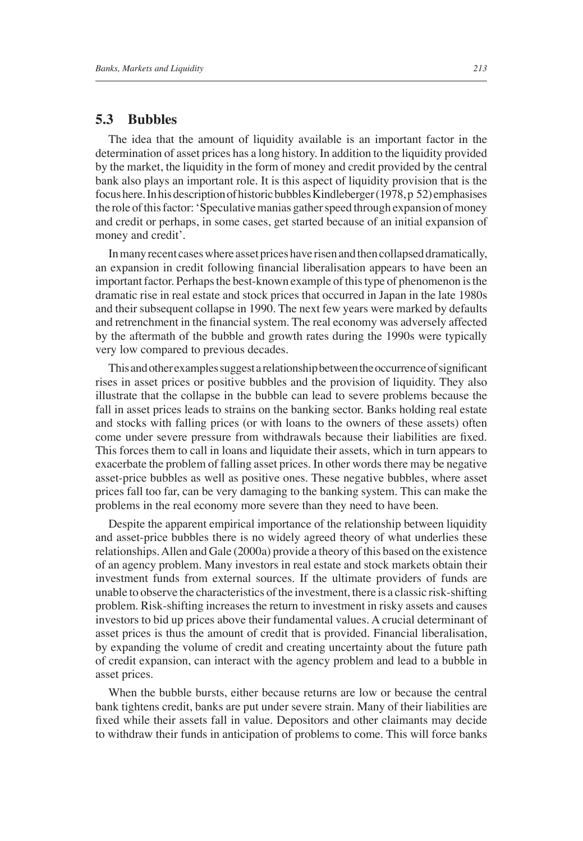## **5.3 Bubbles**

The idea that the amount of liquidity available is an important factor in the determination of asset prices has a long history. In addition to the liquidity provided by the market, the liquidity in the form of money and credit provided by the central bank also plays an important role. It is this aspect of liquidity provision that is the focus here. In his description of historic bubbles Kindleberger (1978, p 52) emphasises the role of this factor: 'Speculative manias gather speed through expansion of money and credit or perhaps, in some cases, get started because of an initial expansion of money and credit'.

In many recent cases where asset prices have risen and then collapsed dramatically, an expansion in credit following financial liberalisation appears to have been an important factor. Perhaps the best-known example of this type of phenomenon is the dramatic rise in real estate and stock prices that occurred in Japan in the late 1980s and their subsequent collapse in 1990. The next few years were marked by defaults and retrenchment in the financial system. The real economy was adversely affected by the aftermath of the bubble and growth rates during the 1990s were typically very low compared to previous decades.

This and other examples suggest a relationship between the occurrence of significant rises in asset prices or positive bubbles and the provision of liquidity. They also illustrate that the collapse in the bubble can lead to severe problems because the fall in asset prices leads to strains on the banking sector. Banks holding real estate and stocks with falling prices (or with loans to the owners of these assets) often come under severe pressure from withdrawals because their liabilities are fixed. This forces them to call in loans and liquidate their assets, which in turn appears to exacerbate the problem of falling asset prices. In other words there may be negative asset-price bubbles as well as positive ones. These negative bubbles, where asset prices fall too far, can be very damaging to the banking system. This can make the problems in the real economy more severe than they need to have been.

Despite the apparent empirical importance of the relationship between liquidity and asset-price bubbles there is no widely agreed theory of what underlies these relationships. Allen and Gale (2000a) provide a theory of this based on the existence of an agency problem. Many investors in real estate and stock markets obtain their investment funds from external sources. If the ultimate providers of funds are unable to observe the characteristics of the investment, there is a classic risk-shifting problem. Risk-shifting increases the return to investment in risky assets and causes investors to bid up prices above their fundamental values. A crucial determinant of asset prices is thus the amount of credit that is provided. Financial liberalisation, by expanding the volume of credit and creating uncertainty about the future path of credit expansion, can interact with the agency problem and lead to a bubble in asset prices.

When the bubble bursts, either because returns are low or because the central bank tightens credit, banks are put under severe strain. Many of their liabilities are fixed while their assets fall in value. Depositors and other claimants may decide to withdraw their funds in anticipation of problems to come. This will force banks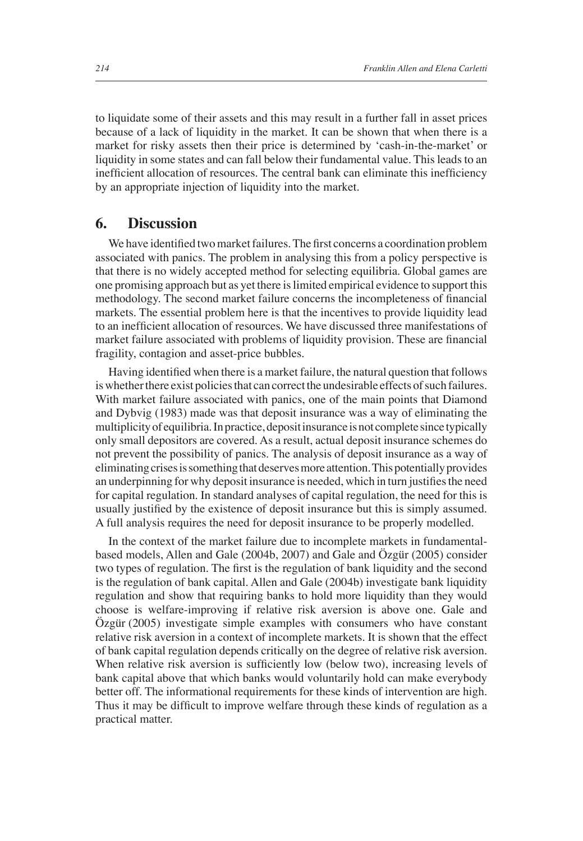to liquidate some of their assets and this may result in a further fall in asset prices because of a lack of liquidity in the market. It can be shown that when there is a market for risky assets then their price is determined by 'cash-in-the-market' or liquidity in some states and can fall below their fundamental value. This leads to an inefficient allocation of resources. The central bank can eliminate this inefficiency by an appropriate injection of liquidity into the market.

# **6. Discussion**

We have identified two market failures. The first concerns a coordination problem associated with panics. The problem in analysing this from a policy perspective is that there is no widely accepted method for selecting equilibria. Global games are one promising approach but as yet there is limited empirical evidence to support this methodology. The second market failure concerns the incompleteness of financial markets. The essential problem here is that the incentives to provide liquidity lead to an inefficient allocation of resources. We have discussed three manifestations of market failure associated with problems of liquidity provision. These are financial fragility, contagion and asset-price bubbles.

Having identified when there is a market failure, the natural question that follows is whether there exist policies that can correct the undesirable effects of such failures. With market failure associated with panics, one of the main points that Diamond and Dybvig (1983) made was that deposit insurance was a way of eliminating the multiplicity of equilibria. In practice, deposit insurance is not complete since typically only small depositors are covered. As a result, actual deposit insurance schemes do not prevent the possibility of panics. The analysis of deposit insurance as a way of eliminating crises is something that deserves more attention. This potentially provides an underpinning for why deposit insurance is needed, which in turn justifies the need for capital regulation. In standard analyses of capital regulation, the need for this is usually justified by the existence of deposit insurance but this is simply assumed. A full analysis requires the need for deposit insurance to be properly modelled.

In the context of the market failure due to incomplete markets in fundamentalbased models, Allen and Gale (2004b, 2007) and Gale and Özgür (2005) consider two types of regulation. The first is the regulation of bank liquidity and the second is the regulation of bank capital. Allen and Gale (2004b) investigate bank liquidity regulation and show that requiring banks to hold more liquidity than they would choose is welfare-improving if relative risk aversion is above one. Gale and Özgür (2005) investigate simple examples with consumers who have constant relative risk aversion in a context of incomplete markets. It is shown that the effect of bank capital regulation depends critically on the degree of relative risk aversion. When relative risk aversion is sufficiently low (below two), increasing levels of bank capital above that which banks would voluntarily hold can make everybody better off. The informational requirements for these kinds of intervention are high. Thus it may be difficult to improve welfare through these kinds of regulation as a practical matter.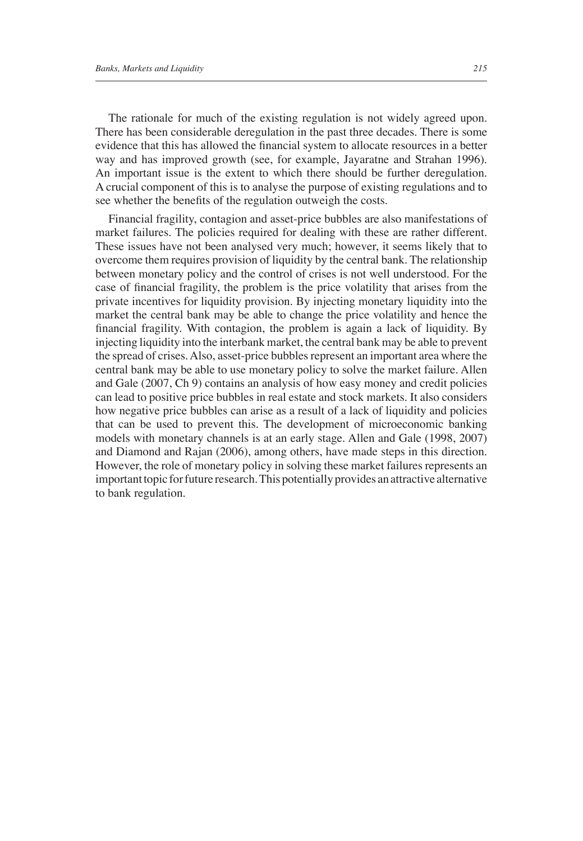The rationale for much of the existing regulation is not widely agreed upon. There has been considerable deregulation in the past three decades. There is some evidence that this has allowed the financial system to allocate resources in a better way and has improved growth (see, for example, Jayaratne and Strahan 1996). An important issue is the extent to which there should be further deregulation. A crucial component of this is to analyse the purpose of existing regulations and to see whether the benefits of the regulation outweigh the costs.

Financial fragility, contagion and asset-price bubbles are also manifestations of market failures. The policies required for dealing with these are rather different. These issues have not been analysed very much; however, it seems likely that to overcome them requires provision of liquidity by the central bank. The relationship between monetary policy and the control of crises is not well understood. For the case of financial fragility, the problem is the price volatility that arises from the private incentives for liquidity provision. By injecting monetary liquidity into the market the central bank may be able to change the price volatility and hence the financial fragility. With contagion, the problem is again a lack of liquidity. By injecting liquidity into the interbank market, the central bank may be able to prevent the spread of crises. Also, asset-price bubbles represent an important area where the central bank may be able to use monetary policy to solve the market failure. Allen and Gale (2007, Ch 9) contains an analysis of how easy money and credit policies can lead to positive price bubbles in real estate and stock markets. It also considers how negative price bubbles can arise as a result of a lack of liquidity and policies that can be used to prevent this. The development of microeconomic banking models with monetary channels is at an early stage. Allen and Gale (1998, 2007) and Diamond and Rajan (2006), among others, have made steps in this direction. However, the role of monetary policy in solving these market failures represents an important topic for future research. This potentially provides an attractive alternative to bank regulation.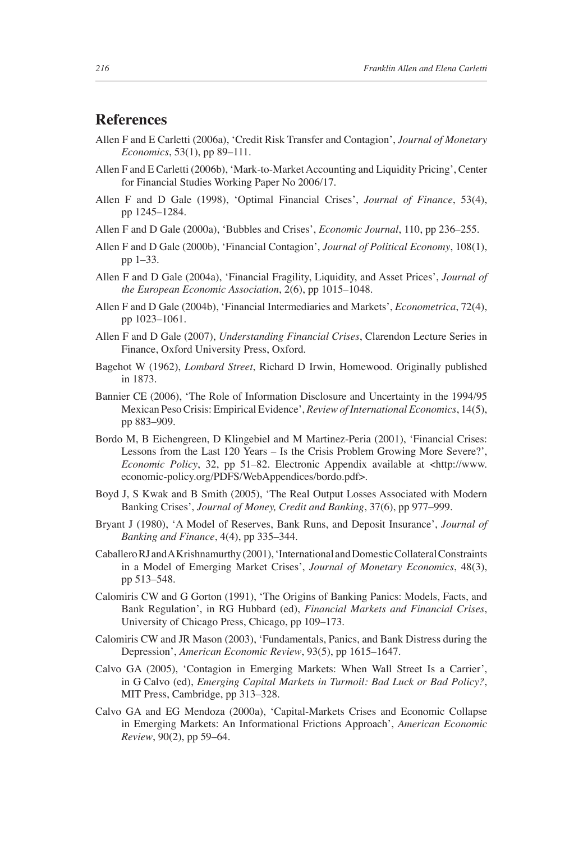## **References**

- Allen F and E Carletti (2006a), 'Credit Risk Transfer and Contagion', *Journal of Monetary Economics*, 53(1), pp 89–111.
- Allen F and E Carletti (2006b), 'Mark-to-Market Accounting and Liquidity Pricing', Center for Financial Studies Working Paper No 2006/17.
- Allen F and D Gale (1998), 'Optimal Financial Crises', *Journal of Finance*, 53(4), pp 1245–1284.
- Allen F and D Gale (2000a), 'Bubbles and Crises', *Economic Journal*, 110, pp 236–255.
- Allen F and D Gale (2000b), 'Financial Contagion', *Journal of Political Economy*, 108(1), pp 1–33.
- Allen F and D Gale (2004a), 'Financial Fragility, Liquidity, and Asset Prices', *Journal of the European Economic Association*, 2(6), pp 1015–1048.
- Allen F and D Gale (2004b), 'Financial Intermediaries and Markets', *Econometrica*, 72(4), pp 1023–1061.
- Allen F and D Gale (2007), *Understanding Financial Crises*, Clarendon Lecture Series in Finance, Oxford University Press, Oxford.
- Bagehot W (1962), *Lombard Street*, Richard D Irwin, Homewood. Originally published in 1873.
- Bannier CE (2006), 'The Role of Information Disclosure and Uncertainty in the 1994/95 Mexican Peso Crisis: Empirical Evidence', *Review of International Economics*, 14(5), pp 883–909.
- Bordo M, B Eichengreen, D Klingebiel and M Martinez-Peria (2001), 'Financial Crises: Lessons from the Last 120 Years – Is the Crisis Problem Growing More Severe?', *Economic Policy*, 32, pp 51–82. Electronic Appendix available at <http://www. economic-policy.org/PDFS/WebAppendices/bordo.pdf>.
- Boyd J, S Kwak and B Smith (2005), 'The Real Output Losses Associated with Modern Banking Crises', *Journal of Money, Credit and Banking*, 37(6), pp 977–999.
- Bryant J (1980), 'A Model of Reserves, Bank Runs, and Deposit Insurance', *Journal of Banking and Finance*, 4(4), pp 335–344.
- Caballero RJ and A Krishnamurthy (2001), 'International and Domestic Collateral Constraints in a Model of Emerging Market Crises', *Journal of Monetary Economics*, 48(3), pp 513–548.
- Calomiris CW and G Gorton (1991), 'The Origins of Banking Panics: Models, Facts, and Bank Regulation', in RG Hubbard (ed), *Financial Markets and Financial Crises*, University of Chicago Press, Chicago, pp 109–173.
- Calomiris CW and JR Mason (2003), 'Fundamentals, Panics, and Bank Distress during the Depression', *American Economic Review*, 93(5), pp 1615–1647.
- Calvo GA (2005), 'Contagion in Emerging Markets: When Wall Street Is a Carrier', in G Calvo (ed), *Emerging Capital Markets in Turmoil: Bad Luck or Bad Policy?*, MIT Press, Cambridge, pp 313–328.
- Calvo GA and EG Mendoza (2000a), 'Capital-Markets Crises and Economic Collapse in Emerging Markets: An Informational Frictions Approach', *American Economic Review*, 90(2), pp 59–64.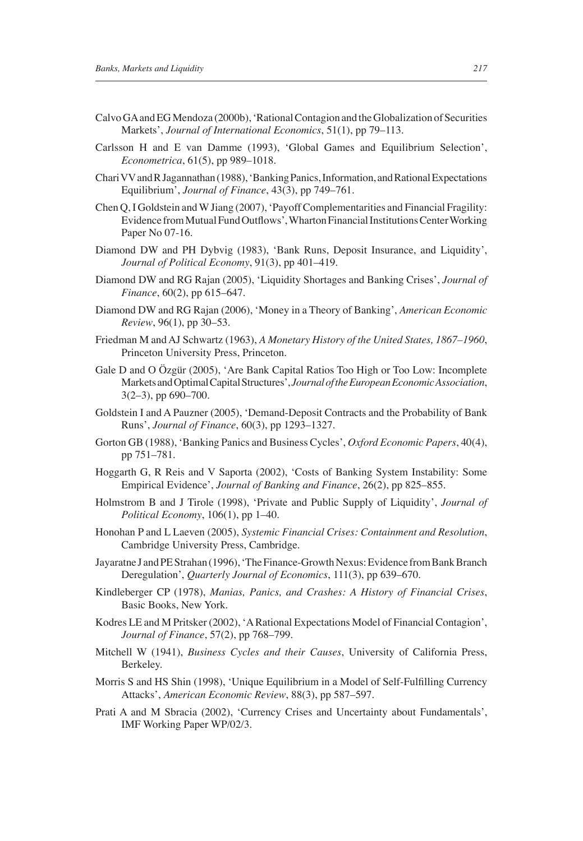- Calvo GA and EG Mendoza (2000b), 'Rational Contagion and the Globalization of Securities Markets', *Journal of International Economics*, 51(1), pp 79–113.
- Carlsson H and E van Damme (1993), 'Global Games and Equilibrium Selection', *Econometrica*, 61(5), pp 989–1018.
- Chari VV and R Jagannathan (1988), 'Banking Panics, Information, and Rational Expectations Equilibrium', *Journal of Finance*, 43(3), pp 749–761.
- Chen Q, I Goldstein and W Jiang (2007), 'Payoff Complementarities and Financial Fragility: Evidence from Mutual Fund Outflows', Wharton Financial Institutions Center Working Paper No 07-16.
- Diamond DW and PH Dybvig (1983), 'Bank Runs, Deposit Insurance, and Liquidity', *Journal of Political Economy*, 91(3), pp 401–419.
- Diamond DW and RG Rajan (2005), 'Liquidity Shortages and Banking Crises', *Journal of Finance*, 60(2), pp 615–647.
- Diamond DW and RG Rajan (2006), 'Money in a Theory of Banking', *American Economic Review*, 96(1), pp 30–53.
- Friedman M and AJ Schwartz (1963), *A Monetary History of the United States, 1867–1960*, Princeton University Press, Princeton.
- Gale D and O Özgür (2005), 'Are Bank Capital Ratios Too High or Too Low: Incomplete Markets and Optimal Capital Structures', *Journal of the European Economic Association*, 3(2–3), pp 690–700.
- Goldstein I and A Pauzner (2005), 'Demand-Deposit Contracts and the Probability of Bank Runs', *Journal of Finance*, 60(3), pp 1293–1327.
- Gorton GB (1988), 'Banking Panics and Business Cycles', *Oxford Economic Papers*, 40(4), pp 751–781.
- Hoggarth G, R Reis and V Saporta (2002), 'Costs of Banking System Instability: Some Empirical Evidence', *Journal of Banking and Finance*, 26(2), pp 825–855.
- Holmstrom B and J Tirole (1998), 'Private and Public Supply of Liquidity', *Journal of Political Economy*, 106(1), pp 1–40.
- Honohan P and L Laeven (2005), *Systemic Financial Crises: Containment and Resolution*, Cambridge University Press, Cambridge.
- Jayaratne J and PE Strahan (1996), 'The Finance-Growth Nexus: Evidence from Bank Branch Deregulation', *Quarterly Journal of Economics*, 111(3), pp 639–670.
- Kindleberger CP (1978), *Manias, Panics, and Crashes: A History of Financial Crises*, Basic Books, New York.
- Kodres LE and M Pritsker (2002), 'A Rational Expectations Model of Financial Contagion', *Journal of Finance*, 57(2), pp 768–799.
- Mitchell W (1941), *Business Cycles and their Causes*, University of California Press, Berkeley.
- Morris S and HS Shin (1998), 'Unique Equilibrium in a Model of Self-Fulfilling Currency Attacks', *American Economic Review*, 88(3), pp 587–597.
- Prati A and M Sbracia (2002), 'Currency Crises and Uncertainty about Fundamentals', IMF Working Paper WP/02/3.